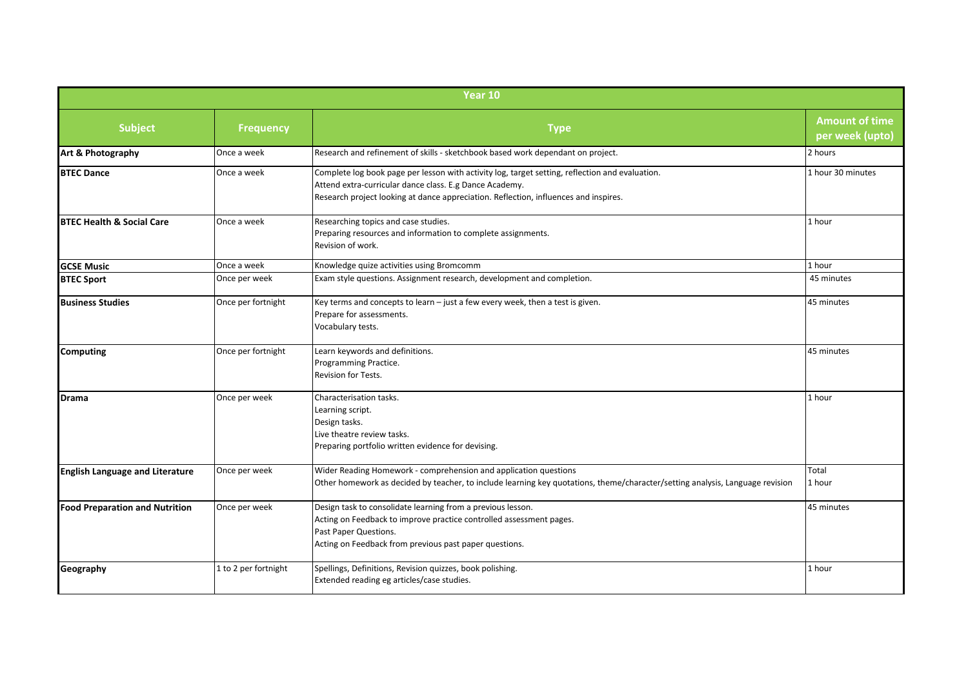| Year 10                                |                      |                                                                                                                                                                                                                                                    |                                          |  |
|----------------------------------------|----------------------|----------------------------------------------------------------------------------------------------------------------------------------------------------------------------------------------------------------------------------------------------|------------------------------------------|--|
| <b>Subject</b>                         | <b>Frequency</b>     | <b>Type</b>                                                                                                                                                                                                                                        | <b>Amount of time</b><br>per week (upto) |  |
| Art & Photography                      | Once a week          | Research and refinement of skills - sketchbook based work dependant on project.                                                                                                                                                                    | 2 hours                                  |  |
| <b>BTEC Dance</b>                      | Once a week          | Complete log book page per lesson with activity log, target setting, reflection and evaluation.<br>Attend extra-curricular dance class. E.g Dance Academy.<br>Research project looking at dance appreciation. Reflection, influences and inspires. | 1 hour 30 minutes                        |  |
| <b>BTEC Health &amp; Social Care</b>   | Once a week          | Researching topics and case studies.<br>Preparing resources and information to complete assignments.<br>Revision of work.                                                                                                                          | 1 hour                                   |  |
| <b>GCSE Music</b>                      | Once a week          | Knowledge quize activities using Bromcomm                                                                                                                                                                                                          | 1 hour                                   |  |
| <b>BTEC Sport</b>                      | Once per week        | Exam style questions. Assignment research, development and completion.                                                                                                                                                                             | 45 minutes                               |  |
| <b>Business Studies</b>                | Once per fortnight   | Key terms and concepts to learn $-$ just a few every week, then a test is given.<br>Prepare for assessments.<br>Vocabulary tests.                                                                                                                  | 45 minutes                               |  |
| <b>Computing</b>                       | Once per fortnight   | Learn keywords and definitions.<br>Programming Practice.<br><b>Revision for Tests.</b>                                                                                                                                                             | 45 minutes                               |  |
| Drama                                  | Once per week        | Characterisation tasks.<br>Learning script.<br>Design tasks.<br>Live theatre review tasks.<br>Preparing portfolio written evidence for devising.                                                                                                   | 1 hour                                   |  |
| <b>English Language and Literature</b> | Once per week        | Wider Reading Homework - comprehension and application questions<br>Other homework as decided by teacher, to include learning key quotations, theme/character/setting analysis, Language revision                                                  | Total<br>1 hour                          |  |
| <b>Food Preparation and Nutrition</b>  | Once per week        | Design task to consolidate learning from a previous lesson.<br>Acting on Feedback to improve practice controlled assessment pages.<br>Past Paper Questions.<br>Acting on Feedback from previous past paper questions.                              | 45 minutes                               |  |
| Geography                              | 1 to 2 per fortnight | Spellings, Definitions, Revision quizzes, book polishing.<br>Extended reading eg articles/case studies.                                                                                                                                            | 1 hour                                   |  |